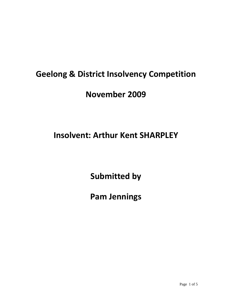# **Geelong & District Insolvency Competition**

## **November 2009**

## **Insolvent: Arthur Kent SHARPLEY**

**Submitted by**

**Pam Jennings**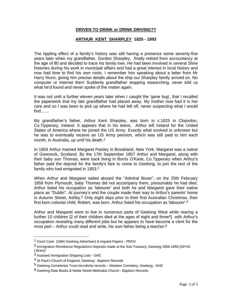#### **DRIVEN TO DRINK or DRINK DRIVING??**

#### **ARTHUR KENT SHARPLEY 1825 - 1893**

The rippling effect of a family's history was still having a presence some seventy-five years later when my grandfather, Gordon Sharpley, finally retired from accountancy at the age of 80 and decided to trace his family tree. He had been involved in several Shire histories during his work in municipal affairs and had a great interest in local history and now had time to find his own roots. I remember him speaking about a letter from Mr Harry Nunn, giving him precise details about the ship our Sharpley family arrived on. No computer or internet then! Suddenly grandfather stopping researching, never told us what he'd found and never spoke of the matter again.

It was not until a further eleven years later when I caught the 'gene bug', that I recalled the paperwork that my late grandfather had placed away. My mother now had it in her care and so I was keen to pick up where he had left off, never suspecting what I would find……

My grandfather's father, Arthur Kent Sharpley, was born in c.1825 in Clojordon, Co.Tipperary, Ireland. It appears that in his teens, Arthur left Ireland for the United States of America where he joined the US Army. Exactly what evolved is unknown but he was to eventually receive an US Army pension, which was still paid to him each month, in Australia, up until his death.<sup>1</sup>

In 1854 Arthur married Margaret Paisley in Brookland, New York. Margaret was a native of Greenock, Scotland. By the 17th September 1857 Arthur and Margaret, along with their baby son Thomas, were back living in Borris O'Kane, Co.Tipperary when Arthur's father paid the deposit for the family's fare to come to Geelong, to join the rest of the family who had emigrated in 1853.2

When Arthur and Margaret sailed aboard the "Admiral Boxer", on the 25th February 1858 from Plymouth, baby Thomas did not accompany them, presumably he had died. Arthur listed his occupation as 'labourer' and both he and Margaret gave their native place as "Dublin". At journey's end the couple made their way to Arthur's parents' home in Autumn Street, Ashby.3 Only eight days prior to their first Australian Christmas, their first born colonial child, Robert, was born. Arthur listed his occupation as 'labourer'.<sup>4</sup>

Arthur and Margaret were to live in numerous parts of Geelong West while rearing a further 10 children [2 of their children died at the ages of eight and three<sup>5</sup>] with Arthur's occupation revealing many different jobs but he appears to have become a clerk for the most part – Arthur could read and write, his own father being a teacher. $6$ 

 $\overline{a}$ 

<sup>1</sup> Court Case (1884 Geelong Advertiser) & Inquest Papers - PROV

<sup>2</sup> Immigration Remittance Regulations Deposits made at the Sub Treasury, Geelong 1856-1858 (GFHG Library)

<sup>3</sup> Assisted Immigration Shipping Lists - GHC

<sup>&</sup>lt;sup>4</sup> St Paul's Church of England, Geelong - Baptism Records

<sup>5</sup> Geelong Cemeteries Trust microfiche records – Western Cemetery, Geelong - GHC

<sup>6</sup> Geelong Rate Books & Noble Street Methodist Church - Baptism Records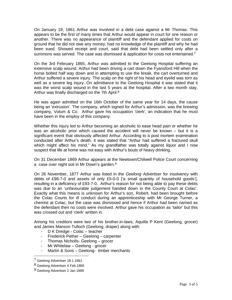On January 18, 1861 Arthur was involved in a debt case against a Mr Thomas. This appears to be the first of many times that Arthur would appear in court for one reason or another. There was no appearance of plaintiff and the defendant applied for costs on ground that he did not owe any money, had no knowledge of the plaintiff and why he had been sued. Showed receipt and court, said that debt had been settled only after a summons was served. The case was dismissed & application for costs not entertained.<sup>7</sup>

On the 3rd February 1865, Arthur was admitted to the Geelong Hospital suffering an extensive scalp wound. Arthur had been driving a cart down the Fyansford Hill when the horse bolted half way down and in attempting to use the break, the cart overturned and Arthur suffered a severe injury. The scalp on the right of his head and eyelid was torn as well as a severe leg injury. On admittance to the Geelong Hospital it was stated that it was the worst scalp wound in the last 5 years at the hospital. After a two month stay, Arthur was finally discharged on the 7th April.<sup>8</sup>

He was again admitted on the 16th October of the same year for 14 days, the cause being an 'extrusion'. The company, which signed for Arthur's admission, was the brewing company, Volum & Co. Arthur gave his occupation 'clerk', an indication that he must have been in the employ of this company.

Whether this injury led to Arthur becoming an alcoholic to ease head pain or whether he was an alcoholic prior which caused the accident will never be known – but it is a significant event that obviously affected Arthur. According to a post mortem examination conducted after Arthur's death, it was stated that "Arthur had suffered a fractured skull which might affect his mind." As my grandfather was totally against liquor and I now suspect that life at home was not easy with Arthur's bouts of heavy drinking.

On 31 December 1869 Arthur appears at the Newtown/Chilwell Police Court concerning a case over night soil in Mr Down's garden.9

On 26 November, 1877 Arthur was listed in the *Geelong Advertiser* for insolvency with debts of £98-7-0 and assets of only £5-0-0 ['a small quantity of household goods'], resulting in a deficiency of £93-7-0. Arthur's reason for not being able to pay these debts was due to an 'unfavourable judgement handed down in the County Court at Colac'. Exactly what this means is unknown for Arthur's son, Robert, had been brought before the Colac Courts for ill conduct during an apprenticeship with Mr George Turner, a chemist at Colac, but the case was dismissed and hence if Arthur had been named as the defendant then no costs were involved. Arthur gave his occupation as 'tailor' but this was crossed out and 'clerk' written in.

Among his creditors were two of his brother-in-laws, Aquilla P Kent (Geelong, grocer) and James Manson Tulloch (Geelong, draper) along with:

- D K Dredge Colac teacher
- Frederick Pether Geelong carpenter
- Thomas Nicholls- Geelong grocer
- Mr Whitelaw Geelong grocer
- Martin & Sons Geelong- timber merchants

 $\overline{\phantom{a}}$ 

<sup>7</sup> Geelong Advertiser 18.1.1861

<sup>8</sup> Geelong Advertiser 4 Feb 1865

<sup>9</sup> Geelong Advertiser 2 Jan 1869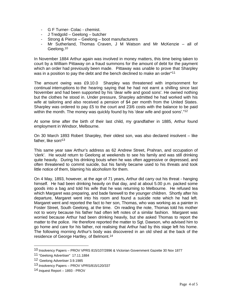- G F Turner- Colac chemist.
- J Tredgold Geelong butcher
- Strong & Pierce Geelong boot manufacturers
- Mr Sutherland, Thomas Craven, J M Watson and Mr McKenzie all of Geelong.10

In November 1884 Arthur again was involved in money matters, this time being taken to court by a William Pittaway on a fraud summons for the amount of debt for the payment which an order had previously been made. Pittaway was unable to prove that Sharpley was in a position to pay the debt and the bench declined to make an order<sup>"11</sup>

The amount owing was £9.10.0 Sharpley was threatened with imprisonment for continual interruptions to the hearing saying that he had not earnt a shilling since last November and had been supported by his 'dear wife and good sons'. He owned nothing but the clothes he stood in. Under pressure, Sharpley admitted he had worked with his wife at tailoring and also received a pension of \$4 per month from the United States. Sharpley was ordered to pay £5 to the court and 23/6 costs with the balance to be paid within the month. The money was quickly found by his 'dear wife and good sons'."<sup>12</sup>

At some time after the birth of their last child, my grandfather in 1885, Arthur found employment in Windsor, Melbourne.

On 30 March 1893 Robert Sharpley, their oldest son, was also declared insolvent – like father, like son!<sup>13</sup>

This same year saw Arthur's address as 62 Andrew Street, Prahran, and occupation of 'clerk'. He would return to Geelong at weekends to see his family and was still drinking quite heavily. During his drinking bouts when he was often aggressive or depressed, and often threatened to commit suicide, but his family became used to his threats and took little notice of them, blaming his alcoholism for them.

On 4 May, 1893, however, at the age of 71 years, Arthur did carry out his threat - hanging himself. He had been drinking heavily on that day, and at about 5.00 p.m. packed some goods into a bag and told his wife that he was returning to Melbourne. He refused tea which Margaret was preparing, and bade farewell to the younger children. Shortly after his departure, Margaret went into his room and found a suicide note which he had left. Margaret went and reported the fact to her son, Thomas, who was working as a painter in Foster Street, South Geelong, at the time. On reading the note, Thomas told his mother not to worry because his father had often left notes of a similar fashion. Margaret was worried because Arthur had been drinking heavily, but she asked Thomas to report the matter to the police. He therefore reported the matter to Sgt. Dawson, who advised him to go home and care for his father, not realising that Arthur had by this stage left his home. The following morning Arthur's body was discovered in an old shed at the back of the residence of George Hartley, of Belmont.14

 $\overline{\phantom{a}}$ 

<sup>10</sup> Insolvency Papers – PROV VPRS 815/107/2896 & Victorian Government Gazette 30 Nov 1877

<sup>11 &</sup>quot;Geelong Advertiser" 17.11.1884

<sup>12 &#</sup>x27;Geelong Advertiser 3.9.1985

<sup>13</sup> Insolvency Papers – PROV VPRS/815/120/337

<sup>14</sup> Inquest Report – 1893 - PROV